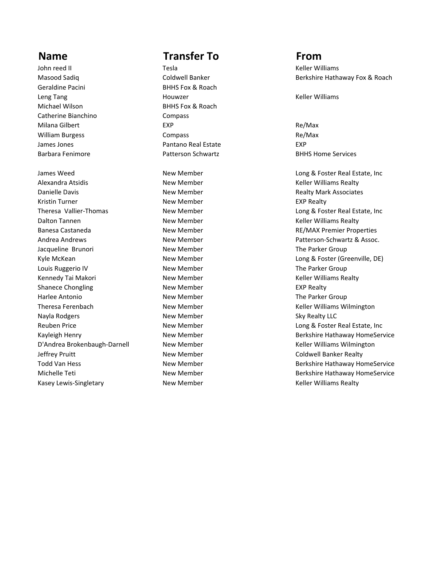John reed II Tesla Keller Williams and Tesla Keller Williams and Tesla Geraldine Pacini BHHS Fox & Roach Michael Wilson **BHHS Fox & Roach** Catherine Bianchino Compass

Alexandra Atsidis New Member Keller Williams Realty Danielle Davis **New Member** New Member **New York Associates** Realty Mark Associates Kristin Turner **New Member** New Member **New Member** EXP Realty Dalton Tannen New Member New Member New Member Neller Williams Realty Banesa Castaneda **New Member** All the Member RE/MAX Premier Properties Andrea Andrews **New Member** New Member **New York Andrea Andrews** Assoc. Jacqueline Brunori **New Member** The Parker Group Constants The Parker Group Louis Ruggerio IV **New Member** The Parker Group Communist Communist Communist Communist Communist Communist Communist Communist Communist Communist Communist Communist Communist Communist Communist Communist Communist Comm Kennedy Tai Makori **New Member** New Member New Member Neller Williams Realty Shanece Chongling **New Member New Member EXP Realty** Harlee Antonio **New Member** The Parker Group Charles Antonio New Member The Parker Group Theresa Ferenbach **New Member** New Member **New Member** Allen Williams Wilmington Nayla Rodgers **New Member** New Member New Member Sky Realty LLC D'Andrea Brokenbaugh-Darnell Mew Member New Member Keller Williams Wilmington Jeffrey Pruitt **New Member** New Member Coldwell Banker Realty Kasey Lewis-Singletary **New Member** New Member New Member Neller Williams Realty

## **Name Transfer To From**

Leng Tang North Communication and Houwzer Communications and Keller Williams Milana Gilbert **EXP** EXP Re/Max William Burgess **Register Strutter Compass** Compass **Register Strutter Register** Register Register Register Register Register Register Register Register Register Register Register Register Register Register Register Regist James Jones Pantano Real Estate EXP Barbara Fenimore Patterson Schwartz BHHS Home Services

Masood Sadiq **Coldwell Banker** Banker Berkshire Hathaway Fox & Roach

James Weed **New Member** New Member **New York Cong & Foster Real Estate**, Inc Theresa Vallier-Thomas **New Member** New Member Long & Foster Real Estate, Inc Kyle McKean **New Member** New Member **New Member** Long & Foster (Greenville, DE) Reuben Price **New Member** New Member **New York Constants Account Long & Foster Real Estate**, Inc Kayleigh Henry **New Member** All the Member Berkshire Hathaway HomeService Todd Van Hess **New Member** New Member **Berkshire Hathaway HomeService Berkshire Hathaway HomeService** Michelle Teti **New Member** Allem Berkshire Hathaway HomeService